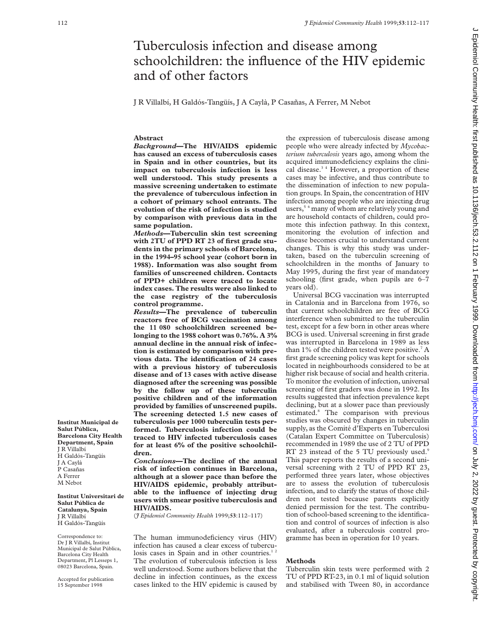# Tuberculosis infection and disease among schoolchildren: the influence of the HIV epidemic and of other factors

J R Villalbí, H Galdós-Tangüís, J A Caylà, P Casañas, A Ferrer, M Nebot

### **Abstract**

*Background***—The HIV/AIDS epidemic has caused an excess of tuberculosis cases in Spain and in other countries, but its impact on tuberculosis infection is less well understood. This study presents a massive screening undertaken to estimate the prevalence of tuberculous infection in a cohort of primary school entrants. The evolution of the risk of infection is studied by comparison with previous data in the same population.**

*Methods***—Tuberculin skin test screening with 2TU of PPD RT 23 of first grade students in the primary schools of Barcelona, in the 1994–95 school year (cohort born in 1988). Information was also sought from families of unscreened children. Contacts of PPD+ children were traced to locate index cases. The results were also linked to the case registry of the tuberculosis control programme.**

*Results***—The prevalence of tuberculin reactors free of BCG vaccination among the 11 080 schoolchildren screened belonging to the 1988 cohort was 0.76%. A 3% annual decline in the annual risk of infection is estimated by comparison with previous data. The identification of 24 cases with a previous history of tuberculosis disease and of 13 cases with active disease diagnosed after the screening was possible by the follow up of these tuberculin positive children and of the information provided by families of unscreened pupils. The screening detected 1.5 new cases of tuberculosis per 1000 tuberculin tests performed. Tuberculosis infection could be traced to HIV infected tuberculosis cases for at least 6% of the positive schoolchildren.**

*Conclusions***—The decline of the annual risk of infection continues in Barcelona, although at a slower pace than before the HIV/AIDS epidemic, probably attributable to the influence of injecting drug users with smear positive tuberculosis and HIV/AIDS.**

(*J Epidemiol Community Health* 1999;**53**:112–117)

The human immunodeficiency virus (HIV) infection has caused a clear excess of tuberculosis cases in Spain and in other countries.<sup>12</sup> The evolution of tuberculosis infection is less well understood. Some authors believe that the decline in infection continues, as the excess cases linked to the HIV epidemic is caused by

the expression of tuberculosis disease among people who were already infected by *Mycobacterium tuberculosis* years ago, among whom the acquired immunodeficiency explains the clinical disease.<sup>34</sup> However, a proportion of these cases may be infective, and thus contribute to the dissemination of infection to new population groups. In Spain, the concentration of HIV infection among people who are injecting drug users,<sup>5</sup> <sup>6</sup> many of whom are relatively young and are household contacts of children, could promote this infection pathway. In this context, monitoring the evolution of infection and disease becomes crucial to understand current changes. This is why this study was undertaken, based on the tuberculin screening of schoolchildren in the months of January to May 1995, during the first year of mandatory schooling (first grade, when pupils are 6–7 years old).

Universal BCG vaccination was interrupted in Catalonia and in Barcelona from 1976, so that current schoolchildren are free of BCG interference when submitted to the tuberculin test, except for a few born in other areas where BCG is used. Universal screening in first grade was interrupted in Barcelona in 1989 as less than  $1\%$  of the children tested were positive.<sup>7</sup> A first grade screening policy was kept for schools located in neighbourhoods considered to be at higher risk because of social and health criteria. To monitor the evolution of infection, universal screening of first graders was done in 1992. Its results suggested that infection prevalence kept declining, but at a slower pace than previously estimated.8 The comparison with previous studies was obscured by changes in tuberculin supply, as the Comité d'Experts en Tuberculosi (Catalan Expert Committee on Tuberculosis) recommended in 1989 the use of 2 TU of PPD RT 23 instead of the 5 TU previously used.<sup>9</sup> This paper reports the results of a second universal screening with 2 TU of PPD RT 23, performed three years later, whose objectives are to assess the evolution of tuberculosis infection, and to clarify the status of those children not tested because parents explicitly denied permission for the test. The contribution of school-based screening to the identification and control of sources of infection is also evaluated, after a tuberculosis control programme has been in operation for 10 years.

## **Methods**

Tuberculin skin tests were performed with 2 TU of PPD RT-23, in 0.1 ml of liquid solution and stabilised with Tween 80, in accordance

**Institut Municipal de Salut Pública, Barcelona City Health Department, Spain** J R Villalbí H Galdós-Tangüís J A Caylà P Casañas A Ferrer M Nebot

**Institut Universitari de Salut Pública de Catalunya, Spain** J R Villalbí H Galdós-Tangüís

Correspondence to: Dr J R Villalbí, Institut Municipal de Salut Pública, Barcelona City Health Department, Pl Lesseps 1, 08023 Barcelona, Spain.

Accepted for publication 15 September 1998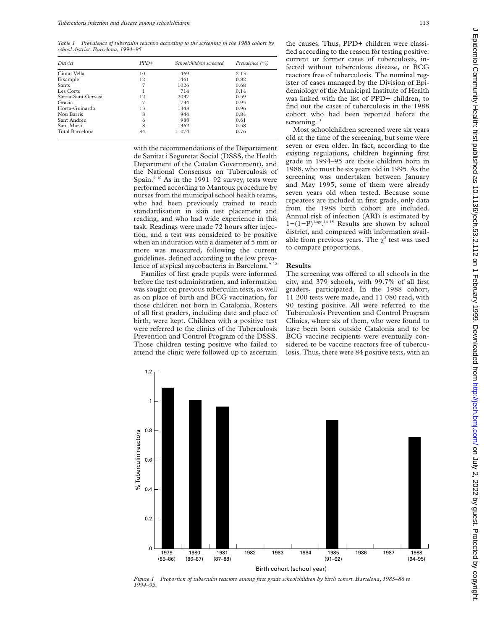*Table 1 Prevalence of tuberculin reactors according to the screening in the 1988 cohort by school district. Barcelona, 1994–95*

| District            | $PPD+$ | Schoolchildren screened | Prevalence $(\%)$ |
|---------------------|--------|-------------------------|-------------------|
| Ciutat Vella        | 10     | 469                     | 2.13              |
| Eixample            | 12     | 1461                    | 0.82              |
| <b>Sants</b>        |        | 1026                    | 0.68              |
| Les Corts           |        | 714                     | 0.14              |
| Sarria-Sant Gervasi | 12     | 2037                    | 0.59              |
| Gracia              |        | 734                     | 0.95              |
| Horta-Guinardo      | 13     | 1348                    | 0.96              |
| Nou Barris          | 8      | 944                     | 0.84              |
| Sant Andreu         | 6      | 988                     | 0.61              |
| Sant Marti          | 8      | 1362                    | 0.58              |
| Total Barcelona     | 84     | 11074                   | 0.76              |

with the recommendations of the Departament de Sanitat i Seguretat Social (DSSS, the Health Department of the Catalan Government), and the National Consensus on Tuberculosis of Spain.<sup>9 10</sup> As in the 1991–92 survey, tests were performed according to Mantoux procedure by nurses from the municipal school health teams, who had been previously trained to reach standardisation in skin test placement and reading, and who had wide experience in this task. Readings were made 72 hours after injection, and a test was considered to be positive when an induration with a diameter of 5 mm or more was measured, following the current guidelines, defined according to the low prevalence of atypical mycobacteria in Barcelona.<sup>9-12</sup>

Families of first grade pupils were informed before the test administration, and information was sought on previous tuberculin tests, as well as on place of birth and BCG vaccination, for those children not born in Catalonia. Rosters of all first graders, including date and place of birth, were kept. Children with a positive test were referred to the clinics of the Tuberculosis Prevention and Control Program of the DSSS. Those children testing positive who failed to attend the clinic were followed up to ascertain

the causes. Thus, PPD+ children were classified according to the reason for testing positive: current or former cases of tuberculosis, infected without tuberculous disease, or BCG reactors free of tuberculosis. The nominal register of cases managed by the Division of Epidemiology of the Municipal Institute of Health was linked with the list of PPD+ children, to find out the cases of tuberculosis in the 1988 cohort who had been reported before the screening.<sup>13</sup>

Most schoolchildren screened were six years old at the time of the screening, but some were seven or even older. In fact, according to the existing regulations, children beginning first grade in 1994–95 are those children born in 1988, who must be six years old in 1995. As the screening was undertaken between January and May 1995, some of them were already seven years old when tested. Because some repeatees are included in first grade, only data from the 1988 birth cohort are included. Annual risk of infection (ARI) is estimated by  $1-(1-P)^{1/age}.$ <sup>14 15</sup> Results are shown by school district, and compared with information available from previous years. The  $\chi^2$  test was used to compare proportions.

#### **Results**

The screening was offered to all schools in the city, and 379 schools, with 99.7% of all first graders, participated. In the 1988 cohort, 11 200 tests were made, and 11 080 read, with 90 testing positive. All were referred to the Tuberculosis Prevention and Control Program Clinics, where six of them, who were found to have been born outside Catalonia and to be BCG vaccine recipients were eventually considered to be vaccine reactors free of tuberculosis. Thus, there were 84 positive tests, with an



*Figure 1 Proportion of tuberculin reactors among first grade schoolchildren by birth cohort. Barcelona, 1985–86 to 1994–95.*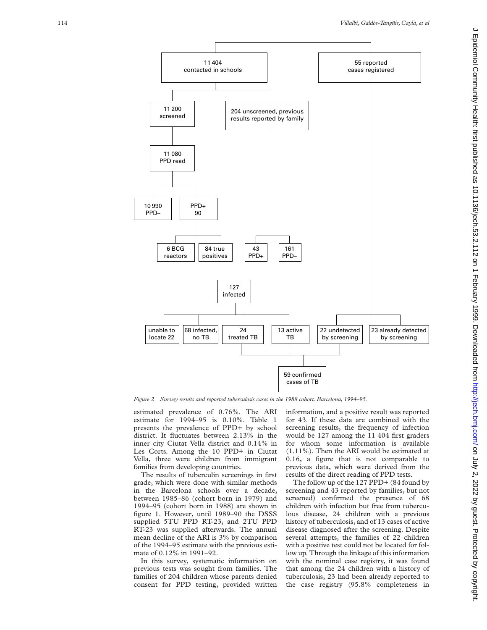

*Figure 2 Survey results and reported tuberculosis cases in the 1988 cohort. Barcelona, 1994–95.*

estimated prevalence of 0.76%. The ARI estimate for 1994–95 is 0.10%. Table 1 presents the prevalence of PPD+ by school district. It fluctuates between 2.13% in the inner city Ciutat Vella district and 0.14% in Les Corts. Among the 10 PPD+ in Ciutat Vella, three were children from immigrant families from developing countries.

The results of tuberculin screenings in first grade, which were done with similar methods in the Barcelona schools over a decade, between 1985–86 (cohort born in 1979) and 1994–95 (cohort born in 1988) are shown in figure 1. However, until 1989–90 the DSSS supplied 5TU PPD RT-23, and 2TU PPD RT-23 was supplied afterwards. The annual mean decline of the ARI is 3% by comparison of the 1994–95 estimate with the previous estimate of 0.12% in 1991–92.

In this survey, systematic information on previous tests was sought from families. The families of 204 children whose parents denied consent for PPD testing, provided written information, and a positive result was reported for 43. If these data are combined with the screening results, the frequency of infection would be 127 among the 11 404 first graders for whom some information is available (1.11%). Then the ARI would be estimated at 0.16, a figure that is not comparable to previous data, which were derived from the results of the direct reading of PPD tests.

The follow up of the 127 PPD+ (84 found by screening and 43 reported by families, but not screened) confirmed the presence of 68 children with infection but free from tuberculous disease, 24 children with a previous history of tuberculosis, and of 13 cases of active disease diagnosed after the screening. Despite several attempts, the families of 22 children with a positive test could not be located for follow up. Through the linkage of this information with the nominal case registry, it was found that among the 24 children with a history of tuberculosis, 23 had been already reported to the case registry (95.8% completeness in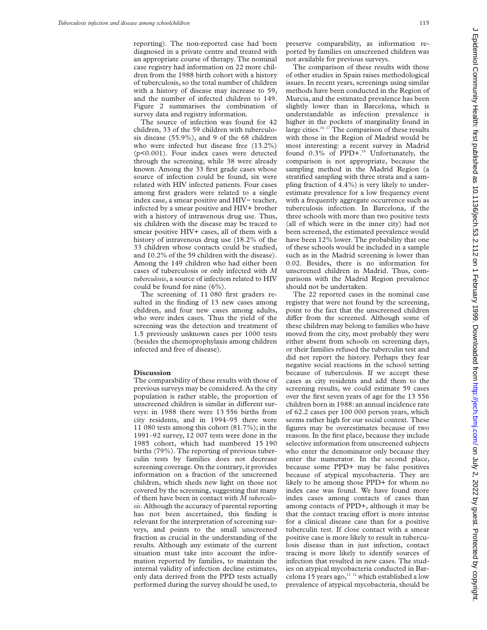reporting). The non-reported case had been diagnosed in a private centre and treated with an appropriate course of therapy. The nominal case registry had information on 22 more children from the 1988 birth cohort with a history of tuberculosis, so the total number of children with a history of disease may increase to 59, and the number of infected children to 149. Figure 2 summarises the combination of survey data and registry information.

The source of infection was found for 42 children, 33 of the 59 children with tuberculosis disease (55.9%), and 9 of the 68 children who were infected but disease free (13.2%) (p<0.001). Four index cases were detected through the screening, while 38 were already known. Among the 33 first grade cases whose source of infection could be found, six were related with HIV infected patients. Four cases among first graders were related to a single index case, a smear positive and HIV− teacher, infected by a smear positive and HIV+ brother with a history of intravenous drug use. Thus, six children with the disease may be traced to smear positive HIV+ cases, all of them with a history of intravenous drug use (18.2% of the 33 children whose contacts could be studied, and 10.2% of the 59 children with the disease). Among the 149 children who had either been cases of tuberculosis or only infected with *M tuberculosis*, a source of infection related to HIV could be found for nine (6%).

The screening of 11 080 first graders resulted in the finding of 13 new cases among children, and four new cases among adults, who were index cases. Thus the yield of the screening was the detection and treatment of 1.5 previously unknown cases per 1000 tests (besides the chemoprophylaxis among children infected and free of disease).

#### **Discussion**

The comparability of these results with those of previous surveys may be considered. As the city population is rather stable, the proportion of unscreened children is similar in different surveys: in 1988 there were 13 556 births from city residents, and in 1994–95 there were 11 080 tests among this cohort (81.7%); in the 1991–92 survey, 12 007 tests were done in the 1985 cohort, which had numbered 15 190 births (79%). The reporting of previous tuberculin tests by families does not decrease screening coverage. On the contrary, it provides information on a fraction of the unscreened children, which sheds new light on those not covered by the screening, suggesting that many of them have been in contact with *M tuberculosis*. Although the accuracy of parental reporting has not been ascertained, this finding is relevant for the interpretation of screening surveys, and points to the small unscreened fraction as crucial in the understanding of the results. Although any estimate of the current situation must take into account the information reported by families, to maintain the internal validity of infection decline estimates, only data derived from the PPD tests actually performed during the survey should be used, to

preserve comparability, as information reported by families on unscreened children was not available for previous surveys.

The comparison of these results with those of other studies in Spain raises methodological issues. In recent years, screenings using similar methods have been conducted in the Region of Murcia, and the estimated prevalence has been slightly lower than in Barcelona, which is understandable as infection prevalence is higher in the pockets of marginality found in large cities.<sup>16 17</sup> The comparison of these results with those in the Region of Madrid would be most interesting: a recent survey in Madrid found  $0.3\%$  of PPD+.<sup>18</sup> Unfortunately, the comparison is not appropriate, because the sampling method in the Madrid Region (a stratified sampling with three strata and a sampling fraction of 4.4%) is very likely to underestimate prevalence for a low frequency event with a frequently aggregate occurrence such as tuberculosis infection. In Barcelona, if the three schools with more than two positive tests (all of which were in the inner city) had not been screened, the estimated prevalence would have been 12% lower. The probability that one of these schools would be included in a sample such as in the Madrid screening is lower than 0.02. Besides, there is no information for unscreened children in Madrid. Thus, comparisons with the Madrid Region prevalence should not be undertaken.

The 22 reported cases in the nominal case registry that were not found by the screening, point to the fact that the unscreened children differ from the screened. Although some of these children may belong to families who have moved from the city, most probably they were either absent from schools on screening days, or their families refused the tuberculin test and did not report the history. Perhaps they fear negative social reactions in the school setting because of tuberculosis. If we accept these cases as city residents and add them to the screening results, we could estimate 59 cases over the first seven years of age for the 13 556 children born in 1988: an annual incidence rate of 62.2 cases per 100 000 person years, which seems rather high for our social context. These figures may be overestimates because of two reasons. In the first place, because they include selective information from unscreened subjects who enter the denominator only because they enter the numerator. In the second place, because some PPD+ may be false positives because of atypical mycobacteria. They are likely to be among those PPD+ for whom no index case was found. We have found more index cases among contacts of cases than among contacts of PPD+, although it may be that the contact tracing effort is more intense for a clinical disease case than for a positive tuberculin test. If close contact with a smear positive case is more likely to result in tuberculosis disease than in just infection, contact tracing is more likely to identify sources of infection that resulted in new cases. The studies on atypical mycobacteria conducted in Barcelona 15 years ago,  $11^{12}$  which established a low prevalence of atypical mycobacteria, should be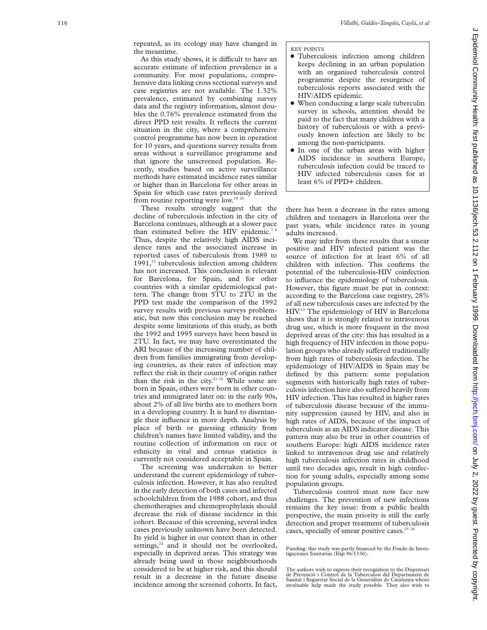repeated, as its ecology may have changed in the meantime.

As this study shows, it is difficult to have an accurate estimate of infection prevalence in a community. For most populations, comprehensive data linking cross sectional surveys and case registries are not available. The 1.32% prevalence, estimated by combining survey data and the registry information, almost doubles the 0.76% prevalence estimated from the direct PPD test results. It reflects the current situation in the city, where a comprehensive control programme has now been in operation for 10 years, and questions survey results from areas without a surveillance programme and that ignore the unscreened population. Recently, studies based on active surveillance methods have estimated incidence rates similar or higher than in Barcelona for other areas in Spain for which case rates previously derived from routine reporting were low.<sup>19</sup><sup>2</sup>

These results strongly suggest that the decline of tuberculosis infection in the city of Barcelona continues, although at a slower pace than estimated before the HIV epidemic.<sup>78</sup> Thus, despite the relatively high AIDS incidence rates and the associated increase in reported cases of tuberculosis from 1989 to 1991,<sup>13</sup> tuberculosis infection among children has not increased. This conclusion is relevant for Barcelona, for Spain, and for other countries with a similar epidemiological pattern. The change from 5TU to 2TU in the PPD test made the comparison of the 1992 survey results with previous surveys problematic, but now this conclusion may be reached despite some limitations of this study, as both the 1992 and 1995 surveys have been based in 2TU. In fact, we may have overestimated the ARI because of the increasing number of children from families immigrating from developing countries, as their rates of infection may reflect the risk in their country of origin rather than the risk in the city.<sup>21-23</sup> While some are born in Spain, others were born in other countries and immigrated later on: in the early 90s, about 2% of all live births are to mothers born in a developing country. It is hard to disentangle their influence in more depth. Analysis by place of birth or guessing ethnicity from children's names have limited validity, and the routine collection of information on race or ethnicity in vital and census statistics is currently not considered acceptable in Spain.

The screening was undertaken to better understand the current epidemiology of tuberculosis infection. However, it has also resulted in the early detection of both cases and infected schoolchildren from the 1988 cohort, and thus chemotherapies and chemoprophylaxis should decrease the risk of disease incidence in this cohort. Because of this screening, several index cases previously unknown have been detected. Its yield is higher in our context than in other settings, $24$  and it should not be overlooked, especially in deprived areas. This strategy was already being used in those neighbourhoods considered to be at higher risk, and this should result in a decrease in the future disease incidence among the screened cohorts. In fact,

#### KEY POINTS

- $\bullet$  Tuberculosis infection among children keeps declining in an urban population with an organised tuberculosis control programme despite the resurgence of tuberculosis reports associated with the HIV/AIDS epidemic.
- When conducting a large scale tuberculin survey in schools, attention should be paid to the fact that many children with a history of tuberculosis or with a previously known infection are likely to be among the non-participants.
- In one of the urban areas with higher AIDS incidence in southern Europe, tuberculosis infection could be traced to HIV infected tuberculosis cases for at least 6% of PPD+ children.

there has been a decrease in the rates among children and teenagers in Barcelona over the past years, while incidence rates in young adults increased.

We may infer from these results that a smear positive and HIV infected patient was the source of infection for at least 6% of all children with infection. This confirms the potential of the tuberculosis-HIV coinfection to influence the epidemiology of tuberculosis. However, this figure must be put in context: according to the Barcelona case registry, 28% of all new tuberculosis cases are infected by the HIV.13 The epidemiology of HIV in Barcelona shows that it is strongly related to intravenous drug use, which is more frequent in the most deprived areas of the city: this has resulted in a high frequency of HIV infection in those population groups who already suffered traditionally from high rates of tuberculosis infection. The epidemiology of HIV/AIDS in Spain may be defined by this pattern: some population segments with historically high rates of tuberculosis infection have also suffered heavily from HIV infection. This has resulted in higher rates of tuberculosis disease because of the immunity suppression caused by HIV, and also in high rates of AIDS, because of the impact of tuberculosis as an AIDS indicator disease. This pattern may also be true in other countries of southern Europe: high AIDS incidence rates linked to intravenous drug use and relatively high tuberculosis infection rates in childhood until two decades ago, result in high coinfection for young adults, especially among some population groups.

Tuberculosis control must now face new challenges. The prevention of new infections remains the key issue: from a public health perspective, the main priority is still the early detection and proper treatment of tuberculosis cases, specially of smear positive cases. $2526$ 

Funding: this study was partly financed by the Fondo de Investigaciones Sanitarias (Exp 96/1336).

The authors wish to express their recognition to the Dispensari de Prevenció i Control de la Tuberculosi del Departament de Sanitat i Seguretat Social de la Generalitat de Catalunya whose invaluable help made the study possible. They also wish to